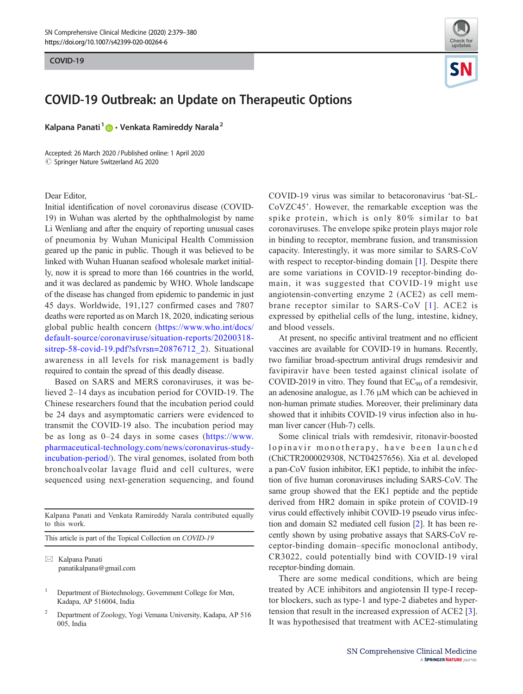

## COVID-19 Outbreak: an Update on Therapeutic Options

Kalpana Panati<sup>1</sup>  $\bullet \cdot$  Venkata Ramireddy Narala<sup>2</sup>

Accepted: 26 March 2020 /Published online: 1 April 2020  $\circled{c}$  Springer Nature Switzerland AG 2020

## Dear Editor,

Initial identification of novel coronavirus disease (COVID-19) in Wuhan was alerted by the ophthalmologist by name Li Wenliang and after the enquiry of reporting unusual cases of pneumonia by Wuhan Municipal Health Commission geared up the panic in public. Though it was believed to be linked with Wuhan Huanan seafood wholesale market initially, now it is spread to more than 166 countries in the world, and it was declared as pandemic by WHO. Whole landscape of the disease has changed from epidemic to pandemic in just 45 days. Worldwide, 191,127 confirmed cases and 7807 deaths were reported as on March 18, 2020, indicating serious global public health concern ([https://www.who.int/docs/](https://www.who.int/docs/default-source/coronaviruse/situation-reports/20200318-sitrep-58-covid-19.pdf?sfvrsn=20876712_2) [default-source/coronaviruse/situation-reports/20200318](https://www.who.int/docs/default-source/coronaviruse/situation-reports/20200318-sitrep-58-covid-19.pdf?sfvrsn=20876712_2) [sitrep-58-covid-19.pdf?sfvrsn=20876712\\_2\)](https://www.who.int/docs/default-source/coronaviruse/situation-reports/20200318-sitrep-58-covid-19.pdf?sfvrsn=20876712_2). Situational awareness in all levels for risk management is badly required to contain the spread of this deadly disease.

Based on SARS and MERS coronaviruses, it was believed 2–14 days as incubation period for COVID-19. The Chinese researchers found that the incubation period could be 24 days and asymptomatic carriers were evidenced to transmit the COVID-19 also. The incubation period may be as long as 0–24 days in some cases [\(https://www.](https://www.pharmaceutical-technology.com/news/coronavirus-study-incubation-period/) [pharmaceutical-technology.com/news/coronavirus-study](https://www.pharmaceutical-technology.com/news/coronavirus-study-incubation-period/)[incubation-period/\)](https://www.pharmaceutical-technology.com/news/coronavirus-study-incubation-period/). The viral genomes, isolated from both bronchoalveolar lavage fluid and cell cultures, were sequenced using next-generation sequencing, and found

Kalpana Panati and Venkata Ramireddy Narala contributed equally to this work.

This article is part of the Topical Collection on COVID-19

 $\boxtimes$  Kalpana Panati [panatikalpana@gmail.com](mailto:panatikalpana@gmail.com)

<sup>1</sup> Department of Biotechnology, Government College for Men, Kadapa, AP 516004, India

<sup>2</sup> Department of Zoology, Yogi Vemana University, Kadapa, AP 516 005, India

COVID-19 virus was similar to betacoronavirus 'bat-SL-CoVZC45'. However, the remarkable exception was the spike protein, which is only 80% similar to bat coronaviruses. The envelope spike protein plays major role in binding to receptor, membrane fusion, and transmission capacity. Interestingly, it was more similar to SARS-CoV with respect to receptor-binding domain [\[1](#page-1-0)]. Despite there are some variations in COVID-19 receptor-binding domain, it was suggested that COVID-19 might use angiotensin-converting enzyme 2 (ACE2) as cell membrane receptor similar to SARS-CoV [[1\]](#page-1-0). ACE2 is expressed by epithelial cells of the lung, intestine, kidney, and blood vessels.

At present, no specific antiviral treatment and no efficient vaccines are available for COVID-19 in humans. Recently, two familiar broad-spectrum antiviral drugs remdesivir and favipiravir have been tested against clinical isolate of COVID-2019 in vitro. They found that  $EC_{90}$  of a remdesivir, an adenosine analogue, as 1.76 μM which can be achieved in non-human primate studies. Moreover, their preliminary data showed that it inhibits COVID-19 virus infection also in human liver cancer (Huh-7) cells.

Some clinical trials with remdesivir, ritonavir-boosted lopinavir monotherapy, have been launched (ChiCTR2000029308, NCT04257656). Xia et al. developed a pan-CoV fusion inhibitor, EK1 peptide, to inhibit the infection of five human coronaviruses including SARS-CoV. The same group showed that the EK1 peptide and the peptide derived from HR2 domain in spike protein of COVID-19 virus could effectively inhibit COVID-19 pseudo virus infection and domain S2 mediated cell fusion [\[2](#page-1-0)]. It has been recently shown by using probative assays that SARS-CoV receptor-binding domain–specific monoclonal antibody, CR3022, could potentially bind with COVID-19 viral receptor-binding domain.

There are some medical conditions, which are being treated by ACE inhibitors and angiotensin II type-I receptor blockers, such as type-1 and type-2 diabetes and hypertension that result in the increased expression of ACE2 [\[3](#page-1-0)]. It was hypothesised that treatment with ACE2-stimulating